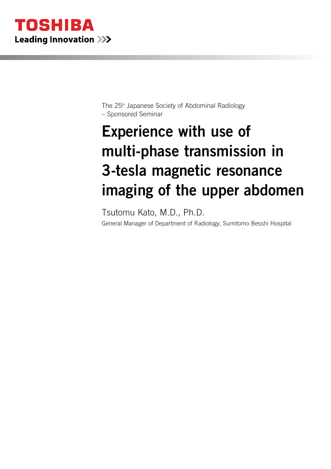

The 25th Japanese Society of Abdominal Radiology – Sponsored Seminar

# Experience with use of multi-phase transmission in 3-tesla magnetic resonance imaging of the upper abdomen

Tsutomu Kato, M.D., Ph.D. General Manager of Department of Radiology, Sumitomo Besshi Hospital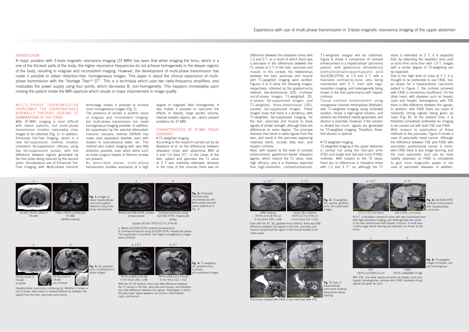## INTRODUCTION

A major problem with 3-tesla magnetic resonance imaging (3T-MRI) has been that when imaging the torso, which is a one of the thickest parts of the body, the higher resonance frequencies do not achieve homogeneity in the deeper regions of the body, resulting in irregular and inconsistent imaging. However, the development of multi-phase transmission has made it possible to obtain distortion-free, homogeneous images. This paper is about the clinical experience of multiphase transmission with the "Vantage Titan™ 3T". This is a technique which uses two radio-frequency amplifiers, and modulates the power supply using four points, which decreases B, non-homogeneity. This happens immediately upon moving the patient inside the MRI aperture which results in major improvement in image quality.

## M U L T I - P H A S E T R A N S M I S S I O N OVERCOMES THE DISADVANTAGES NORMALLY PRESENT DURING 3T EXAMINATIONS OF THE TORSO

## CHARACTERISTICS OF 3T-MRI TISSUE **CONTRAST**

With 3T-MRI, imaging is most difficult with obese patients, but multi-phase transmission enables reasonably clear images to be obtained (Fig. 1). In addition, Enhanced Fat-Free Imaging, which is a new fat-suppression method, enables consistent fat-suppression efficacy using two fat-suppression pulses, with the difference between signals generated by the first pulse being reduced by the second pulse. Simultaneous use of Enhanced Fat-Free Imaging with Multi-phase transmit

technology makes it possible to achieve more homogeneous images (Fig. 2). The presence of ascites is another cause

of irregular and inconsistent imaging, but multi-phase transmission has made homogeneous imaging possible. In addition, fat suppression by the spectral attenuatedinversion recovery method (SPAIR) has made clear separation feasible, even with respect to subcutaneous water, etc. This method also makes imaging with very little distortion possible, even when items such as metal surgical staples or titanium screws are present.

As described above, multi-phase transmission enables assurance of a high

degree of magnetic field homogeneity. It also makes it possible to overcome the effects of obesity, large ascites volume, internal metallic objects, etc., which present problems for 3T-MRI.

## • T1-weighted imaging

According to the research carried out by de Bazelaire *et al*. on the differences between relaxation times with abdominal MRI at 3 and 1.5 tesla  $(T)^{11}$ , in the cases of the liver, spleen and pancreas the T1 value at 3 T was markedly extended, whereas in the case of the muscles there was no

2D-GR (TR/TE=160/2.3  $FA=90$ 

difference between the relaxation times with 1.5 and 3 T, as a result of which there was a decrease in the differences between the T1 values at 3 T in the liver, pancreas and muscle. In this context, the relationships between the liver, pancreas and muscle with T1-weighted imaging were verified. Figures 3 to 5 show the following images, respectively, obtained by the gradient-echo method: two-dimensional (2D), in-phase/ out-of-phase images; T1-weighted, 2D, in-phase, fat-suppressed images; and T1-weighted, three-dimensional (3D), spoiled, fat-suppressed images. These images show that there is a tendency, with T1-weighted, fat-suppressed imaging, for the liver, pancreas and muscle to show signals of similar strength, although there are differences to some degree. The principal diseases that result in weak signals from the liver, and result in the pancreas appearing

**Fig. 1:** Images of .<br>ese hepatocellular arcinoma patient obtained using multihase transmission

> With the 3T 2D method, there was little difference between the T1 values in the liver, pancreas and muscle, and therefore also little difference between the signals. Pathologies in which the pancreatic signal weakens are chronic inflammation, cysts, and tumors.

**Fig. 5:** T1-weighted, D, spoiled, gradientecho, fat-suppressed

relatively blank, include fatty liver, and hepatic cirrhosis. Next, with respect to the level of contrast enhancement, gadolinium-based relaxation

**Fig. 3:** 2D, gradient-.<br>ho, in-phase/out-ofhase images

agents, which reduce the T1 value, have high efficacy, and it is therefore expected that high-resolution, contrast-enhanced,

T1-weighted images will be obtained. Figure 6 shows a comparison of contrast enhancement in a hepatocellular carcinoma patient, with gadolinium ethoxybenzyl diethylenetriaminepentaacetic acid (Gd-EOB-DTPA), at 1.5 and 3 T, with a favorable contrast-to-noise ratio being maintained with 3 T, even with highresolution imaging, and heterogeneity being shown in the liver parenchyma with hepatic cirrhosis.



At 3 T, a favorable contrast-to-noise ratio was maintained even with high-resolution imaging, and heterogeneity was shown in the liver parenchyma with hepatic cirrhosis. A small area of early-stage dense staining was detected, as shown by the arrow. $1.5 \times 1.3 \times 5.0$  (mm) 0.6 × 0.6 × 2.0 (mm)

Tissue contrast enhancement using manganese chloride tetrahydrate (Bothdel), with T1-weighted imaging using undiluted solution, shows a high-signal solution, and artifacts are therefore readily generated, and dilution is essential. However, if the solution is diluted too much, signals are generated by T2-weighted imaging. Therefore, threefold dilution is optimal.

• T2-weighted imaging T2-weighted imaging of the upper abdomen is carried out using the fast-spin echo (FSE) and single-shot fast-spin echo (FASE) methods. With respect to the T2 value, there are no differences in relaxation times with  $1.5$  and  $3$  T<sup>1</sup>, so, although the T1

value is extended at 3 T, it is expected that, by extending the repetition time and/ or echo time more than with 1.5 T, images with a similar degree of T2-weighting can be expected.

Due to the high level of noise at 3 T, it is thought to be preferable to use FASE, but, as shown for a hepatocellular carcinoma patient in Figure 7, the contrast achieved with FASE is sometimes insufficient. On the other hand, with diseases such as hepatic cysts and hepatic hemangioma, with FSE there is little difference between the signals. In addition, with FASE there are cases of markedly strong signals being given by cysts (Fig. 8). At the present time, it is therefore considered preferable for imaging to be carried out with both FSE and FASE.With respect to application of these methods to the pancreas, Figure 9 shows a case of pancreatic head cancer. Although the difference between FSE and FASE with pancreatic parenchymal cancer is minor, with FASE there is less image blurring, and the main pancreatic duct can be more readily observed, so FASE is considered to give more diagnostic power in the case of pancreatic diseases. In addition,



a: 1.5 T

b

b: 3 T

b a: 1.5 T  $_{\rm a}$  a: 1.5 T  $_{\rm a}$  b  $_{\rm b}$  a: 1.5 T  $_{\rm a}$  a: 1.5 T  $_{\rm a}$  a: 1.5 T

b: 3 T



enhancement



5 mm thick  $256 \times 256$ 

VIBE method TR/TE=4.3/1.8 FA=125 mm thick 256 × 256



Contrast-enhanced using Gd-EOB-DTPA: Hepatocyte phase

> TR/TE=159.4 /2.3 FA=50 5 mm thick 512 × 512

Quick 3D's method  $TR/TF = 3.7/1.3$   $FA = 12$ 2 mm thick 512 × 512

Even with the 3T, 3D, gradient-echo method, there was little difference between the signals in the liver, pancreas and muscle, except that the signal in the muscle tended to be

rather weak.

**Fig. 2:** Enhanced at-Free used simultaneously with Multi-phase transmit (same patient as in

Fig. 1)

images

**Fig. 8:** T2-weighted images of hepatic cyst and hemangioma



**Fig. 6:** Gd-EOB-DTPA contrast enhancement with hepatocellular carcinoma



a b

TR/TE=210/2.3  $FA-60$ in-phase

TR/TE=210/3.5  $FA=60$ out of phase



Hepatocellular carcinoma, containing fat. Whether in phase or out of phase, there were no marked differences between the

signals from the liver, pancreas and muscle.

The tumor contrast with FASE is less clear than with FSE.



FSE (3217/90 ET=23)

Gd-EOB, arterial phase Gd-EOB, hepatocyte phase

FASE (15000/120 ET=88)

b: Contrast-enhanced using Gd-EOB-DTPA: Hepatocyte phase. Fat suppression is excellent, and highly homogeneous images were achieved.



With FSE, only weak signals are given by hepatic cysts and hepatic hemangiomas, whereas with FASE markedly strong signals are given by cysts. FSE TR/TE=2272/90 ET=23TR/TE=16000/80 ET=80